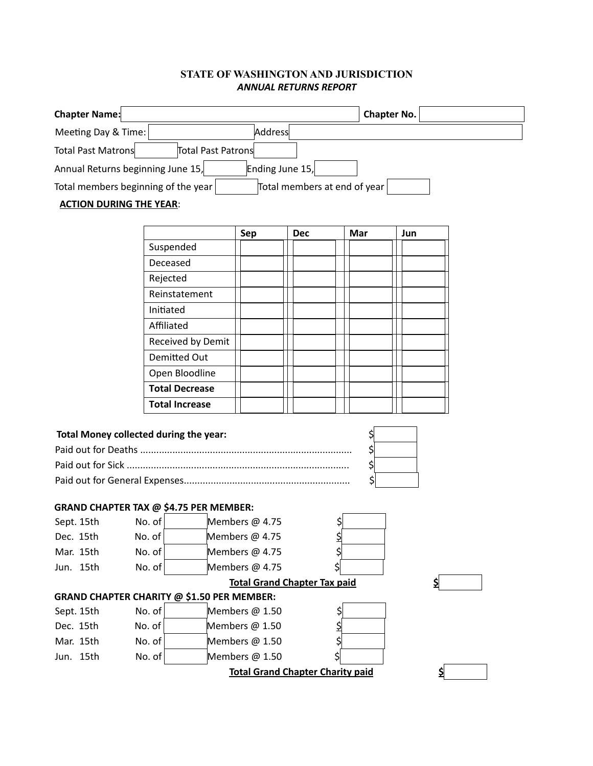## **STATE OF WASHINGTON AND JURISDICTION**  *ANNUAL RETURNS REPORT*

| <b>Chapter Name:</b>                            |                                                   |                 |                                     | <b>Chapter No.</b> |     |    |  |  |
|-------------------------------------------------|---------------------------------------------------|-----------------|-------------------------------------|--------------------|-----|----|--|--|
| Meeting Day & Time:                             |                                                   | Address         |                                     |                    |     |    |  |  |
| <b>Total Past Matrons</b><br>Total Past Patrons |                                                   |                 |                                     |                    |     |    |  |  |
| Annual Returns beginning June 15,               |                                                   | Ending June 15, |                                     |                    |     |    |  |  |
| Total members beginning of the year             |                                                   |                 | Total members at end of year        |                    |     |    |  |  |
| <b>ACTION DURING THE YEAR:</b>                  |                                                   |                 |                                     |                    |     |    |  |  |
|                                                 |                                                   |                 |                                     |                    |     |    |  |  |
|                                                 |                                                   | Sep             | <b>Dec</b>                          | Mar                | Jun |    |  |  |
|                                                 | Suspended                                         |                 |                                     |                    |     |    |  |  |
|                                                 | Deceased                                          |                 |                                     |                    |     |    |  |  |
|                                                 | Rejected                                          |                 |                                     |                    |     |    |  |  |
|                                                 | Reinstatement                                     |                 |                                     |                    |     |    |  |  |
|                                                 | Initiated                                         |                 |                                     |                    |     |    |  |  |
|                                                 | Affiliated                                        |                 |                                     |                    |     |    |  |  |
|                                                 | Received by Demit                                 |                 |                                     |                    |     |    |  |  |
|                                                 | <b>Demitted Out</b>                               |                 |                                     |                    |     |    |  |  |
|                                                 | Open Bloodline                                    |                 |                                     |                    |     |    |  |  |
|                                                 | <b>Total Decrease</b>                             |                 |                                     |                    |     |    |  |  |
|                                                 | <b>Total Increase</b>                             |                 |                                     |                    |     |    |  |  |
| Total Money collected during the year:          |                                                   |                 |                                     |                    |     |    |  |  |
|                                                 |                                                   |                 |                                     | \$                 |     |    |  |  |
| \$                                              |                                                   |                 |                                     |                    |     |    |  |  |
| \$                                              |                                                   |                 |                                     |                    |     |    |  |  |
| \$                                              |                                                   |                 |                                     |                    |     |    |  |  |
|                                                 | <b>GRAND CHAPTER TAX @ \$4.75 PER MEMBER:</b>     |                 |                                     |                    |     |    |  |  |
| Sept. 15th                                      | No. of                                            | Members @ 4.75  | \$                                  |                    |     |    |  |  |
| Dec. 15th No. of                                |                                                   | Members @ 4.75  | 귁                                   |                    |     |    |  |  |
| Mar. 15th                                       | No. of                                            | Members @ 4.75  | \$                                  |                    |     |    |  |  |
| Jun. 15th                                       | No. of                                            | Members @ 4.75  |                                     |                    |     |    |  |  |
|                                                 |                                                   |                 | <b>Total Grand Chapter Tax paid</b> |                    |     | \$ |  |  |
|                                                 | <b>GRAND CHAPTER CHARITY @ \$1.50 PER MEMBER:</b> |                 |                                     |                    |     |    |  |  |
| Sept. 15th                                      | No. of                                            | Members @ 1.50  | Ş                                   |                    |     |    |  |  |
| Dec. 15th                                       | No. of                                            | Members @ 1.50  |                                     |                    |     |    |  |  |
| Mar. 15th                                       | No. of                                            | Members @ 1.50  |                                     |                    |     |    |  |  |
| Jun. 15th                                       | No. of                                            | Members @ 1.50  | \$l                                 |                    |     |    |  |  |
| <b>Total Grand Chapter Charity paid</b><br>\$   |                                                   |                 |                                     |                    |     |    |  |  |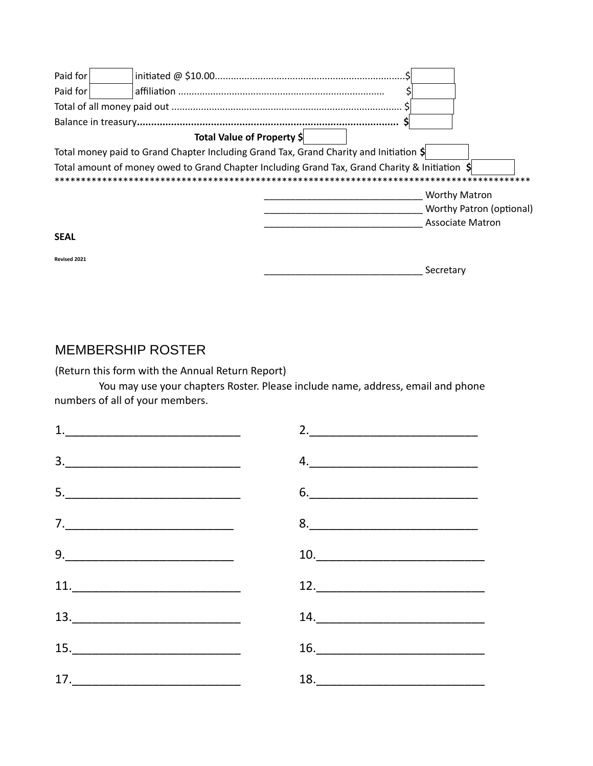| Paid for     |                                                                                                     |
|--------------|-----------------------------------------------------------------------------------------------------|
| Paid for     |                                                                                                     |
|              |                                                                                                     |
|              |                                                                                                     |
|              | Total Value of Property \$                                                                          |
|              | Total money paid to Grand Chapter Including Grand Tax, Grand Charity and Initiation \$              |
|              | Total amount of money owed to Grand Chapter Including Grand Tax, Grand Charity & Initiation $\oint$ |
|              | <b>Worthy Matron</b>                                                                                |
|              | <b>Worthy Patron (optional)</b>                                                                     |
|              | <b>Associate Matron</b>                                                                             |
| <b>SEAL</b>  |                                                                                                     |
| Revised 2021 |                                                                                                     |
|              | Secretary                                                                                           |

## **MEMBERSHIP ROSTER**

(Return this form with the Annual Return Report)

You may use your chapters Roster. Please include name, address, email and phone numbers of all of your members.

| $\begin{array}{c} \n 1. \quad \textcolor{red}{\overline{\text{}}}\n \end{array}$                                                                                                                                                                                                                                                                                                                                                                                                                                                   | 2. |
|------------------------------------------------------------------------------------------------------------------------------------------------------------------------------------------------------------------------------------------------------------------------------------------------------------------------------------------------------------------------------------------------------------------------------------------------------------------------------------------------------------------------------------|----|
| $\begin{array}{c} \hline \textbf{3.} \end{array}$                                                                                                                                                                                                                                                                                                                                                                                                                                                                                  | 4. |
|                                                                                                                                                                                                                                                                                                                                                                                                                                                                                                                                    |    |
| <u>7. _________________________________</u>                                                                                                                                                                                                                                                                                                                                                                                                                                                                                        |    |
| $9. \begin{tabular}{@{}c@{}} \hline \rule{0.2cm}{0.2cm} \rule{0.2cm}{0.2cm} \rule{0.2cm}{0.2cm} \rule{0.2cm}{0.2cm} \rule{0.2cm}{0.2cm} \rule{0.2cm}{0.2cm} \rule{0.2cm}{0.2cm} \rule{0.2cm}{0.2cm} \rule{0.2cm}{0.2cm} \rule{0.2cm}{0.2cm} \rule{0.2cm}{0.2cm} \rule{0.2cm}{0.2cm} \rule{0.2cm}{0.2cm} \rule{0.2cm}{0.2cm} \rule{0.2cm}{0.2cm} \rule{0.2cm}{$                                                                                                                                                                     |    |
|                                                                                                                                                                                                                                                                                                                                                                                                                                                                                                                                    |    |
| $\begin{array}{c} \n \textbf{13.} \quad \textcolor{red}{\overline{\phantom{a}}} \textbf{13.} \quad \textcolor{red}{\overline{\phantom{a}}} \textbf{14.} \quad \textcolor{red}{\overline{\phantom{a}}} \textbf{15.} \quad \textcolor{red}{\overline{\phantom{a}}} \textbf{16.} \quad \textcolor{red}{\overline{\phantom{a}}} \textbf{17.} \quad \textcolor{red}{\overline{\phantom{a}}} \textbf{18.} \quad \textcolor{red}{\overline{\phantom{a}}} \textbf{19.} \quad \textcolor{red}{\overline{\phantom{a}}} \textbf{19.} \quad \$ |    |
|                                                                                                                                                                                                                                                                                                                                                                                                                                                                                                                                    |    |
| 17.                                                                                                                                                                                                                                                                                                                                                                                                                                                                                                                                |    |